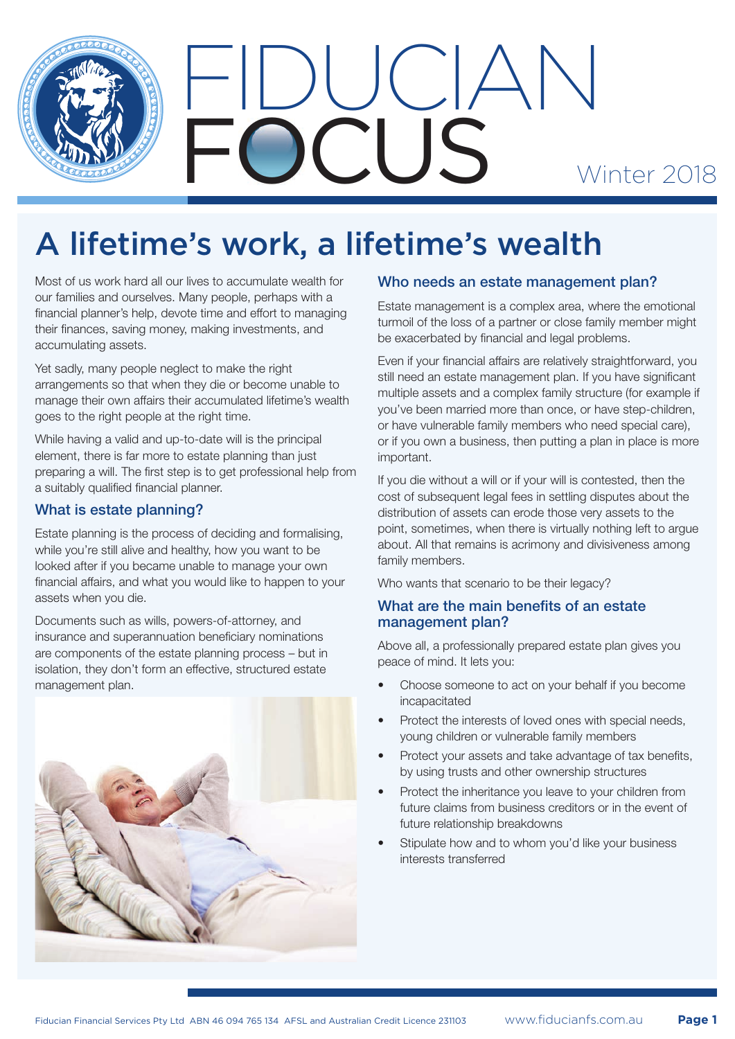



# A lifetime's work, a lifetime's wealth

Most of us work hard all our lives to accumulate wealth for our families and ourselves. Many people, perhaps with a financial planner's help, devote time and effort to managing their finances, saving money, making investments, and accumulating assets.

Yet sadly, many people neglect to make the right arrangements so that when they die or become unable to manage their own affairs their accumulated lifetime's wealth goes to the right people at the right time.

While having a valid and up-to-date will is the principal element, there is far more to estate planning than just preparing a will. The first step is to get professional help from a suitably qualified financial planner.

# What is estate planning?

Estate planning is the process of deciding and formalising, while you're still alive and healthy, how you want to be looked after if you became unable to manage your own financial affairs, and what you would like to happen to your assets when you die.

Documents such as wills, powers-of-attorney, and insurance and superannuation beneficiary nominations are components of the estate planning process – but in isolation, they don't form an effective, structured estate management plan.



# Who needs an estate management plan?

Estate management is a complex area, where the emotional turmoil of the loss of a partner or close family member might be exacerbated by financial and legal problems.

Even if your financial affairs are relatively straightforward, you still need an estate management plan. If you have significant multiple assets and a complex family structure (for example if you've been married more than once, or have step-children, or have vulnerable family members who need special care), or if you own a business, then putting a plan in place is more important.

If you die without a will or if your will is contested, then the cost of subsequent legal fees in settling disputes about the distribution of assets can erode those very assets to the point, sometimes, when there is virtually nothing left to argue about. All that remains is acrimony and divisiveness among family members.

Who wants that scenario to be their legacy?

## What are the main benefits of an estate management plan?

Above all, a professionally prepared estate plan gives you peace of mind. It lets you:

- Choose someone to act on your behalf if you become incapacitated
- Protect the interests of loved ones with special needs, young children or vulnerable family members
- Protect your assets and take advantage of tax benefits, by using trusts and other ownership structures
- Protect the inheritance you leave to your children from future claims from business creditors or in the event of future relationship breakdowns
- Stipulate how and to whom you'd like your business interests transferred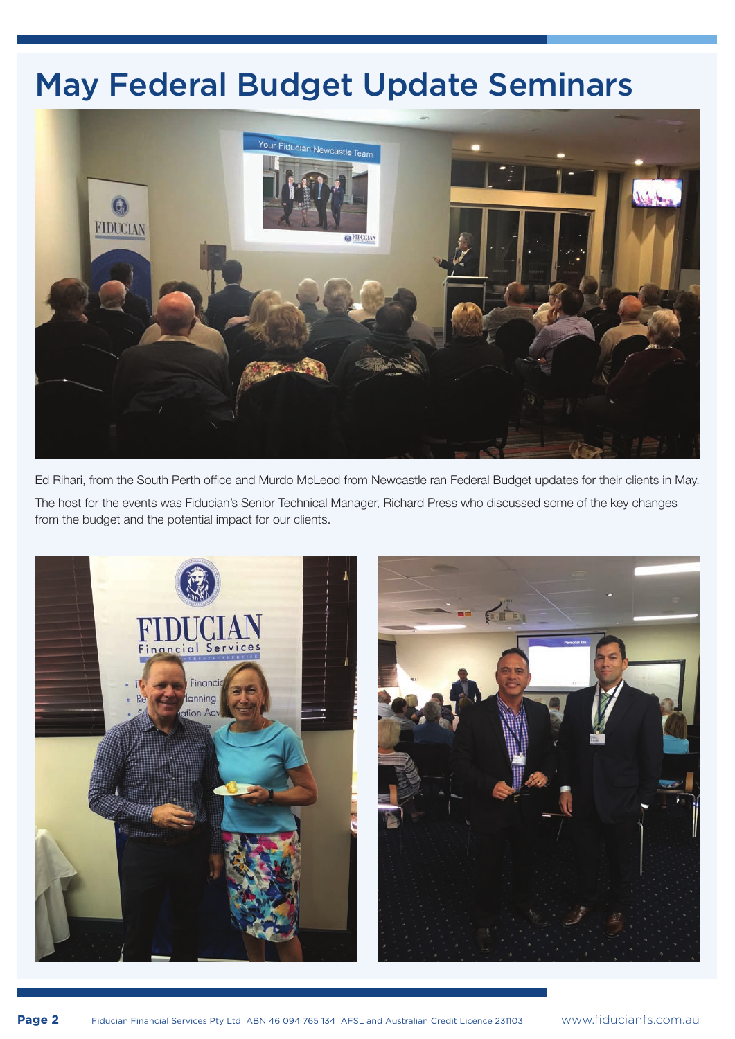# May Federal Budget Update Seminars



Ed Rihari, from the South Perth office and Murdo McLeod from Newcastle ran Federal Budget updates for their clients in May.

The host for the events was Fiducian's Senior Technical Manager, Richard Press who discussed some of the key changes from the budget and the potential impact for our clients.

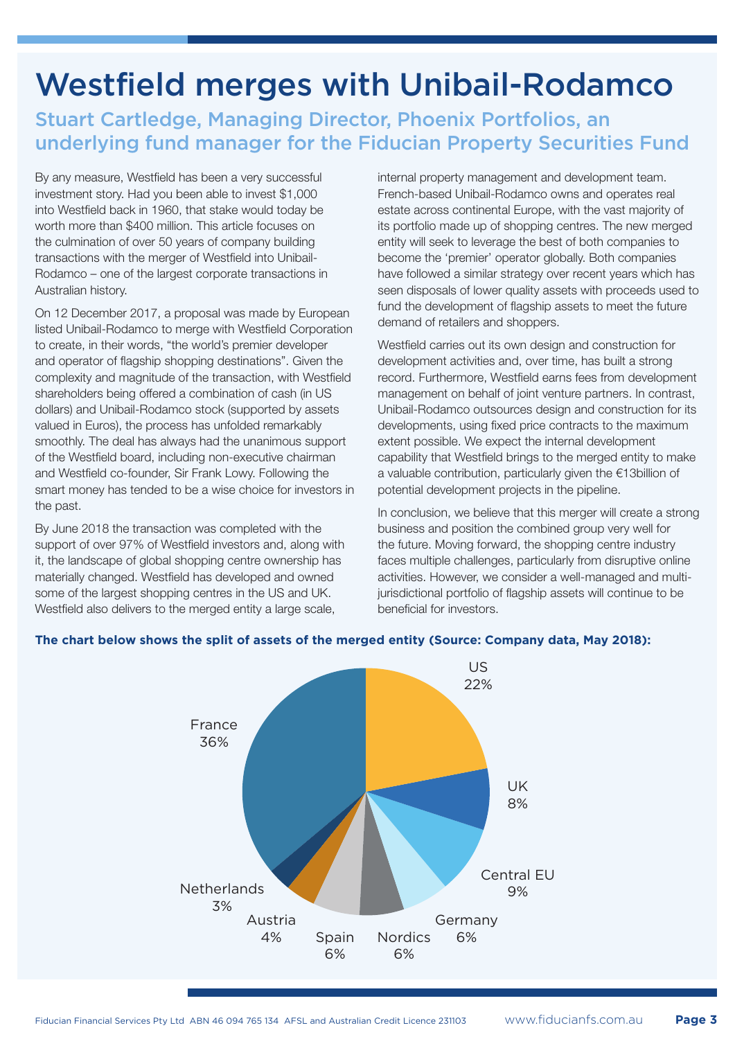# Westfield merges with Unibail-Rodamco

# Stuart Cartledge, Managing Director, Phoenix Portfolios, an underlying fund manager for the Fiducian Property Securities Fund

By any measure, Westfield has been a very successful investment story. Had you been able to invest \$1,000 into Westfield back in 1960, that stake would today be worth more than \$400 million. This article focuses on the culmination of over 50 years of company building transactions with the merger of Westfield into Unibail-Rodamco – one of the largest corporate transactions in Australian history.

On 12 December 2017, a proposal was made by European listed Unibail-Rodamco to merge with Westfield Corporation to create, in their words, "the world's premier developer and operator of flagship shopping destinations". Given the complexity and magnitude of the transaction, with Westfield shareholders being offered a combination of cash (in US dollars) and Unibail-Rodamco stock (supported by assets valued in Euros), the process has unfolded remarkably smoothly. The deal has always had the unanimous support of the Westfield board, including non-executive chairman and Westfield co-founder, Sir Frank Lowy. Following the smart money has tended to be a wise choice for investors in the past.

By June 2018 the transaction was completed with the support of over 97% of Westfield investors and, along with it, the landscape of global shopping centre ownership has materially changed. Westfield has developed and owned some of the largest shopping centres in the US and UK. Westfield also delivers to the merged entity a large scale,

internal property management and development team. French-based Unibail-Rodamco owns and operates real estate across continental Europe, with the vast majority of its portfolio made up of shopping centres. The new merged entity will seek to leverage the best of both companies to become the 'premier' operator globally. Both companies have followed a similar strategy over recent years which has seen disposals of lower quality assets with proceeds used to fund the development of flagship assets to meet the future demand of retailers and shoppers.

Westfield carries out its own design and construction for development activities and, over time, has built a strong record. Furthermore, Westfield earns fees from development management on behalf of joint venture partners. In contrast, Unibail-Rodamco outsources design and construction for its developments, using fixed price contracts to the maximum extent possible. We expect the internal development capability that Westfield brings to the merged entity to make a valuable contribution, particularly given the €13billion of potential development projects in the pipeline.

In conclusion, we believe that this merger will create a strong business and position the combined group very well for the future. Moving forward, the shopping centre industry faces multiple challenges, particularly from disruptive online activities. However, we consider a well-managed and multijurisdictional portfolio of flagship assets will continue to be beneficial for investors.



## **The chart below shows the split of assets of the merged entity (Source: Company data, May 2018):**